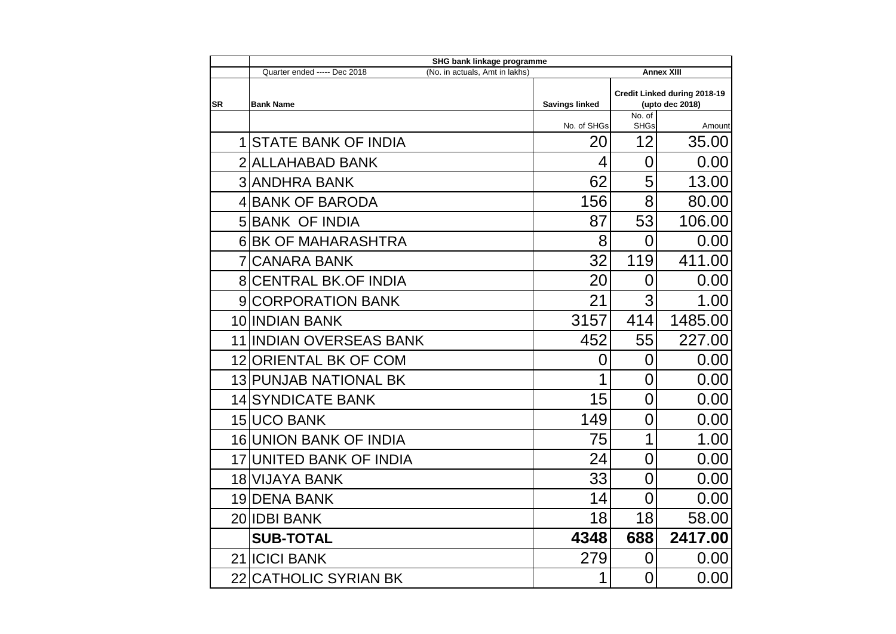|           | SHG bank linkage programme                                                          |                       |                              |         |  |  |
|-----------|-------------------------------------------------------------------------------------|-----------------------|------------------------------|---------|--|--|
|           | (No. in actuals, Amt in lakhs)<br><b>Annex XIII</b><br>Quarter ended ----- Dec 2018 |                       |                              |         |  |  |
|           |                                                                                     |                       | Credit Linked during 2018-19 |         |  |  |
| <b>SR</b> | <b>Bank Name</b>                                                                    | <b>Savings linked</b> | (upto dec 2018)<br>No. of    |         |  |  |
|           |                                                                                     | No. of SHGs           | <b>SHGs</b>                  | Amount  |  |  |
|           | <b>1 STATE BANK OF INDIA</b>                                                        | 20                    | 12                           | 35.00   |  |  |
|           | 2 ALLAHABAD BANK                                                                    | 4                     | $\overline{0}$               | 0.00    |  |  |
|           | <b>3 ANDHRA BANK</b>                                                                | 62                    | 5                            | 13.00   |  |  |
|           | 4 BANK OF BARODA                                                                    | 156                   | 8                            | 80.00   |  |  |
|           | <b>5 BANK OF INDIA</b>                                                              | 87                    | 53                           | 106.00  |  |  |
|           | <b>6 BK OF MAHARASHTRA</b>                                                          | 8                     | 0                            | 0.00    |  |  |
|           | <b>7 CANARA BANK</b>                                                                | 32                    | 119                          | 411.00  |  |  |
|           | <b>8 CENTRAL BK.OF INDIA</b>                                                        | 20                    | 0                            | 0.00    |  |  |
|           | 9 CORPORATION BANK                                                                  | 21                    | 3                            | 1.00    |  |  |
|           | 10 INDIAN BANK                                                                      | 3157                  | 414                          | 1485.00 |  |  |
|           | 11 IINDIAN OVERSEAS BANK                                                            | 452                   | 55                           | 227.00  |  |  |
|           | 12 ORIENTAL BK OF COM                                                               | 0                     | $\overline{0}$               | 0.00    |  |  |
|           | <b>13 PUNJAB NATIONAL BK</b>                                                        | 1                     | $\overline{0}$               | 0.00    |  |  |
|           | <b>14 SYNDICATE BANK</b>                                                            | 15                    | $\overline{0}$               | 0.00    |  |  |
|           | <b>15 UCO BANK</b>                                                                  | 149                   | 0                            | 0.00    |  |  |
|           | <b>16 UNION BANK OF INDIA</b>                                                       | 75                    | 1                            | 1.00    |  |  |
|           | <b>17 UNITED BANK OF INDIA</b>                                                      | 24                    | 0                            | 0.00    |  |  |
|           | 18 VIJAYA BANK                                                                      | 33                    | $\overline{0}$               | 0.00    |  |  |
|           | <b>19 DENA BANK</b>                                                                 | 14                    | $\overline{0}$               | 0.00    |  |  |
|           | 20 IDBI BANK                                                                        | 18                    | 18                           | 58.00   |  |  |
|           | <b>SUB-TOTAL</b>                                                                    | 4348                  | 688                          | 2417.00 |  |  |
|           | 21 <b>ICICI BANK</b>                                                                | 279                   | 0                            | 0.00    |  |  |
|           | 22 CATHOLIC SYRIAN BK                                                               |                       | $\overline{0}$               | 0.00    |  |  |